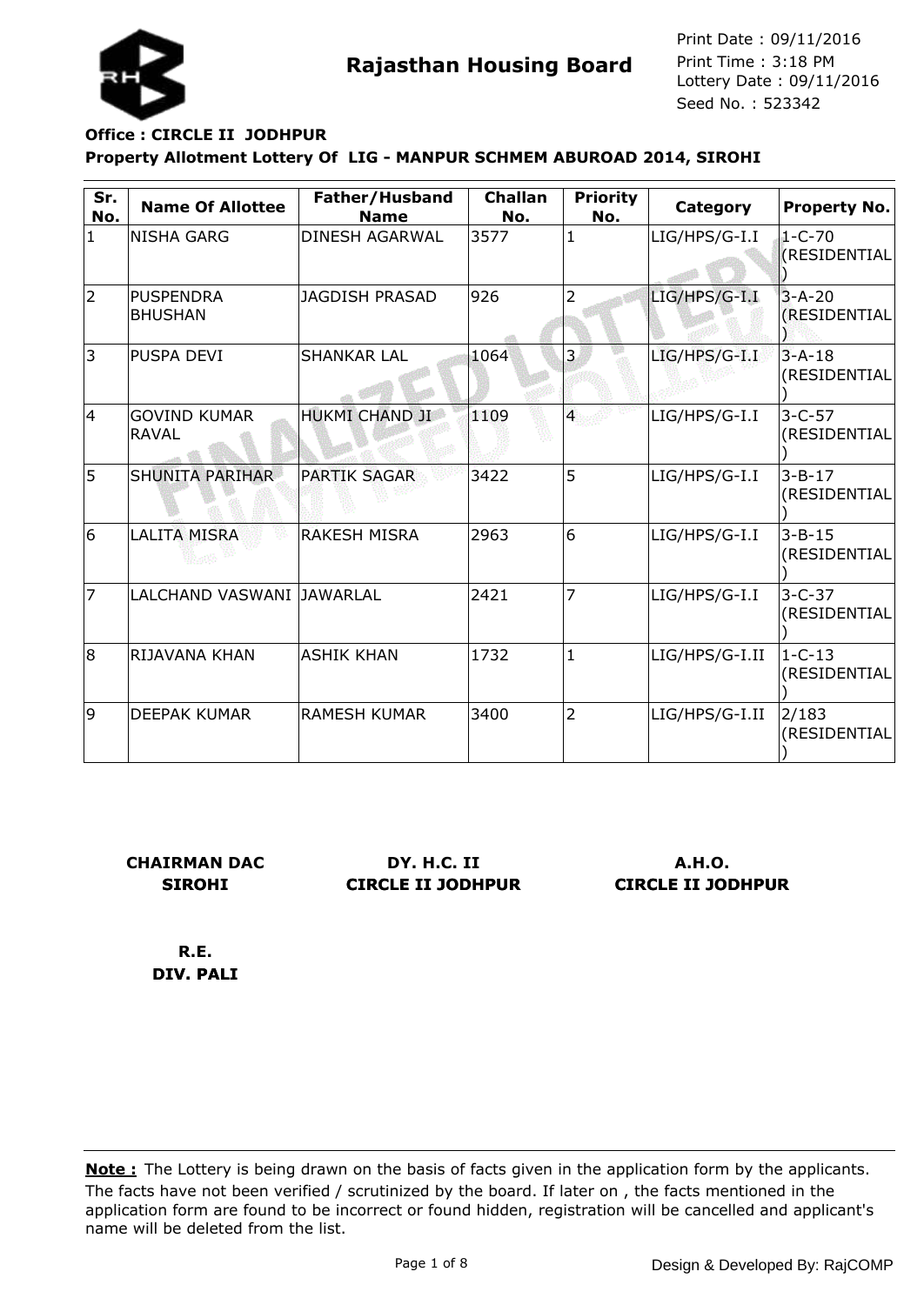

# **Property Allotment Lottery Of LIG - MANPUR SCHMEM ABUROAD 2014, SIROHI Office : CIRCLE II JODHPUR**

| Sr.<br>No.   | <b>Name Of Allottee</b>             | Father/Husband<br><b>Name</b> | <b>Challan</b><br>No. | <b>Priority</b><br>No. | Category       | <b>Property No.</b>          |
|--------------|-------------------------------------|-------------------------------|-----------------------|------------------------|----------------|------------------------------|
| $\mathbf{1}$ | <b>NISHA GARG</b>                   | <b>DINESH AGARWAL</b>         | 3577                  | $\mathbf{1}$           | LIG/HPS/G-I.I  | 1-C-70<br>(RESIDENTIAL       |
| 2            | <b>PUSPENDRA</b><br><b>BHUSHAN</b>  | <b>JAGDISH PRASAD</b>         | 926                   | 2                      | LIG/HPS/G-I.I  | $3 - A - 20$<br>(RESIDENTIAL |
| 3            | PUSPA DEVI                          | <b>SHANKAR LAL</b>            | 1064                  | 3                      | LIG/HPS/G-I.I  | $3 - A - 18$<br>(RESIDENTIAL |
| 4            | <b>GOVIND KUMAR</b><br><b>RAVAL</b> | HUKMI CHAND JI                | 1109                  | $\overline{4}$         | LIG/HPS/G-I.I  | $3 - C - 57$<br>(RESIDENTIAL |
| 5            | <b>SHUNITA PARIHAR</b>              | <b>PARTIK SAGAR</b>           | 3422                  | 5                      | LIG/HPS/G-I.I  | $3 - B - 17$<br>(RESIDENTIAL |
| 6            | <b>LALITA MISRA</b>                 | <b>RAKESH MISRA</b>           | 2963                  | 6                      | LIG/HPS/G-I.I  | $3 - B - 15$<br>(RESIDENTIAL |
| 17           | LALCHAND VASWANI JAWARLAL           |                               | 2421                  | $\overline{7}$         | LIG/HPS/G-I.I  | $3 - C - 37$<br>(RESIDENTIAL |
| 8            | RIJAVANA KHAN                       | <b>ASHIK KHAN</b>             | 1732                  | $\mathbf{1}$           | LIG/HPS/G-I.II | $1 - C - 13$<br>(RESIDENTIAL |
| 9            | <b>DEEPAK KUMAR</b>                 | <b>RAMESH KUMAR</b>           | 3400                  | $\overline{2}$         | LIG/HPS/G-I.II | 2/183<br>(RESIDENTIAL        |

**CHAIRMAN DAC SIROHI**

**DY. H.C. II CIRCLE II JODHPUR**

**A.H.O. CIRCLE II JODHPUR**

**R.E. DIV. PALI**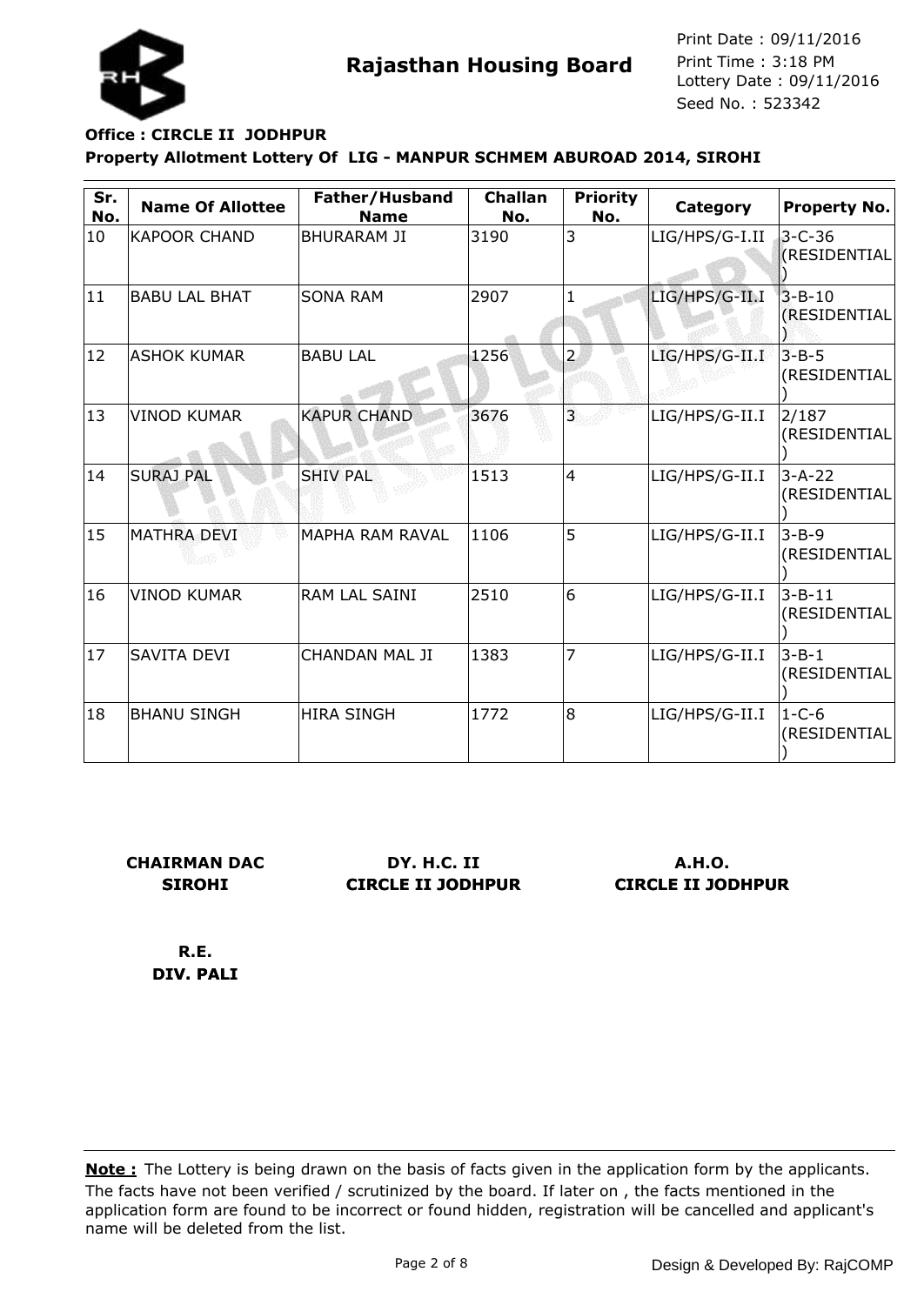

# **Property Allotment Lottery Of LIG - MANPUR SCHMEM ABUROAD 2014, SIROHI Office : CIRCLE II JODHPUR**

| Sr.<br>No. | <b>Name Of Allottee</b> | Father/Husband<br><b>Name</b> | <b>Challan</b><br>No. | <b>Priority</b><br>No. | Category       | Property No.                 |
|------------|-------------------------|-------------------------------|-----------------------|------------------------|----------------|------------------------------|
| 10         | <b>KAPOOR CHAND</b>     | <b>BHURARAM JI</b>            | 3190                  | 3                      | LIG/HPS/G-I.II | $3 - C - 36$<br>(RESIDENTIAL |
| 11         | <b>BABU LAL BHAT</b>    | <b>SONA RAM</b>               | 2907                  |                        | LIG/HPS/G-II.I | $3 - B - 10$<br>(RESIDENTIAL |
| 12         | <b>ASHOK KUMAR</b>      | <b>BABU LAL</b>               | 1256                  | $\overline{2}$         | LIG/HPS/G-II.I | $3 - B - 5$<br>(RESIDENTIAL  |
| 13         | <b>VINOD KUMAR</b>      | <b>KAPUR CHAND</b>            | 3676                  | $\overline{3}$         | LIG/HPS/G-II.I | 2/187<br>(RESIDENTIAL        |
| 14         | <b>SURAJ PAL</b>        | <b>SHIV PAL</b>               | 1513                  | $\overline{4}$         | LIG/HPS/G-II.I | $3 - A - 22$<br>(RESIDENTIAL |
| 15         | <b>MATHRA DEVI</b>      | MAPHA RAM RAVAL               | 1106                  | 5                      | LIG/HPS/G-II.I | $3 - B - 9$<br>(RESIDENTIAL  |
| 16         | <b>VINOD KUMAR</b>      | RAM LAL SAINI                 | 2510                  | 6                      | LIG/HPS/G-II.I | $3 - B - 11$<br>(RESIDENTIAL |
| 17         | <b>SAVITA DEVI</b>      | <b>CHANDAN MAL JI</b>         | 1383                  | $\overline{7}$         | LIG/HPS/G-II.I | $3 - B - 1$<br>(RESIDENTIAL  |
| 18         | <b>BHANU SINGH</b>      | <b>HIRA SINGH</b>             | 1772                  | 8                      | LIG/HPS/G-II.I | $1 - C - 6$<br>(RESIDENTIAL  |

**CHAIRMAN DAC SIROHI**

**DY. H.C. II CIRCLE II JODHPUR**

**A.H.O. CIRCLE II JODHPUR**

**R.E. DIV. PALI**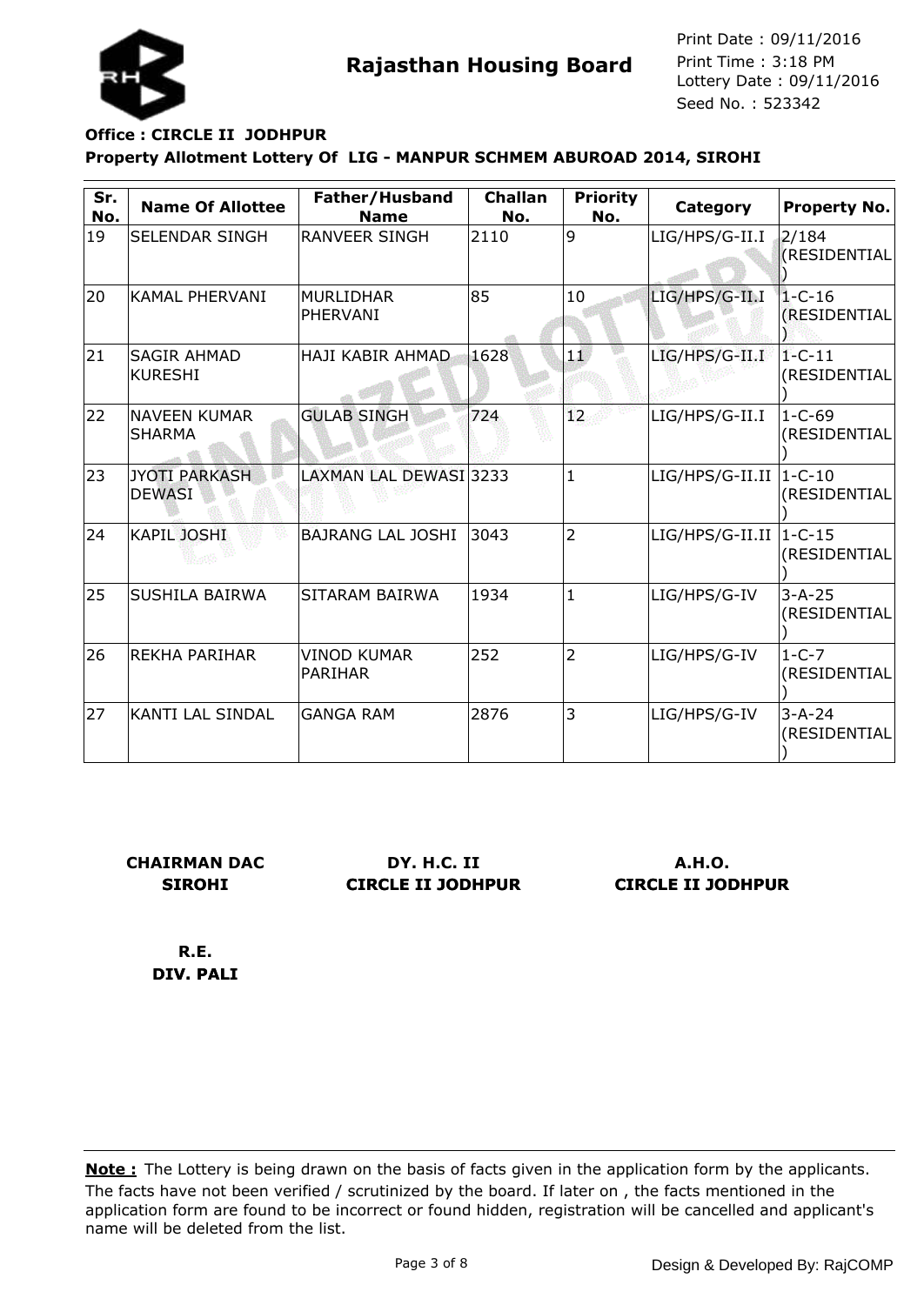

# **Property Allotment Lottery Of LIG - MANPUR SCHMEM ABUROAD 2014, SIROHI Office : CIRCLE II JODHPUR**

| Sr.<br>No. | <b>Name Of Allottee</b>               | Father/Husband<br><b>Name</b> | <b>Challan</b><br>No. | <b>Priority</b><br>No. | Category                   | <b>Property No.</b>          |
|------------|---------------------------------------|-------------------------------|-----------------------|------------------------|----------------------------|------------------------------|
| 19         | SELENDAR SINGH                        | <b>RANVEER SINGH</b>          | 2110                  | 9                      | LIG/HPS/G-II.I             | 2/184<br><b>(RESIDENTIAL</b> |
| 20         | <b>KAMAL PHERVANI</b>                 | MURLIDHAR<br>PHERVANI         | 85                    | 10                     | LIG/HPS/G-II.I             | $1 - C - 16$<br>(RESIDENTIAL |
| 21         | <b>SAGIR AHMAD</b><br><b>KURESHI</b>  | <b>HAJI KABIR AHMAD</b>       | 1628                  | 1.0                    | LIG/HPS/G-II.I             | $1 - C - 11$<br>(RESIDENTIAL |
| 22         | <b>NAVEEN KUMAR</b><br><b>SHARMA</b>  | <b>GULAB SINGH</b>            | 724                   | 12.                    | LIG/HPS/G-II.I             | $1 - C - 69$<br>(RESIDENTIAL |
| 23         | <b>JYOTI PARKASH</b><br><b>DEWASI</b> | LAXMAN LAL DEWASI 3233        |                       | $\mathbf{1}$           | $LIG/HPS/G-II.II$   1-C-10 | (RESIDENTIAL                 |
| 24         | <b>KAPIL JOSHI</b>                    | <b>BAJRANG LAL JOSHI</b>      | 3043                  | $\overline{2}$         | $LIG/HPS/G-II.II$          | $1 - C - 15$<br>(RESIDENTIAL |
| 25         | SUSHILA BAIRWA                        | SITARAM BAIRWA                | 1934                  | $\mathbf{1}$           | LIG/HPS/G-IV               | $3 - A - 25$<br>(RESIDENTIAL |
| 26         | <b>REKHA PARIHAR</b>                  | <b>VINOD KUMAR</b><br>PARIHAR | 252                   | $\overline{2}$         | LIG/HPS/G-IV               | $1 - C - 7$<br>(RESIDENTIAL  |
| 27         | <b>KANTI LAL SINDAL</b>               | <b>GANGA RAM</b>              | 2876                  | 3                      | LIG/HPS/G-IV               | $3 - A - 24$<br>(RESIDENTIAL |

**CHAIRMAN DAC SIROHI**

**DY. H.C. II CIRCLE II JODHPUR**

**A.H.O. CIRCLE II JODHPUR**

**R.E. DIV. PALI**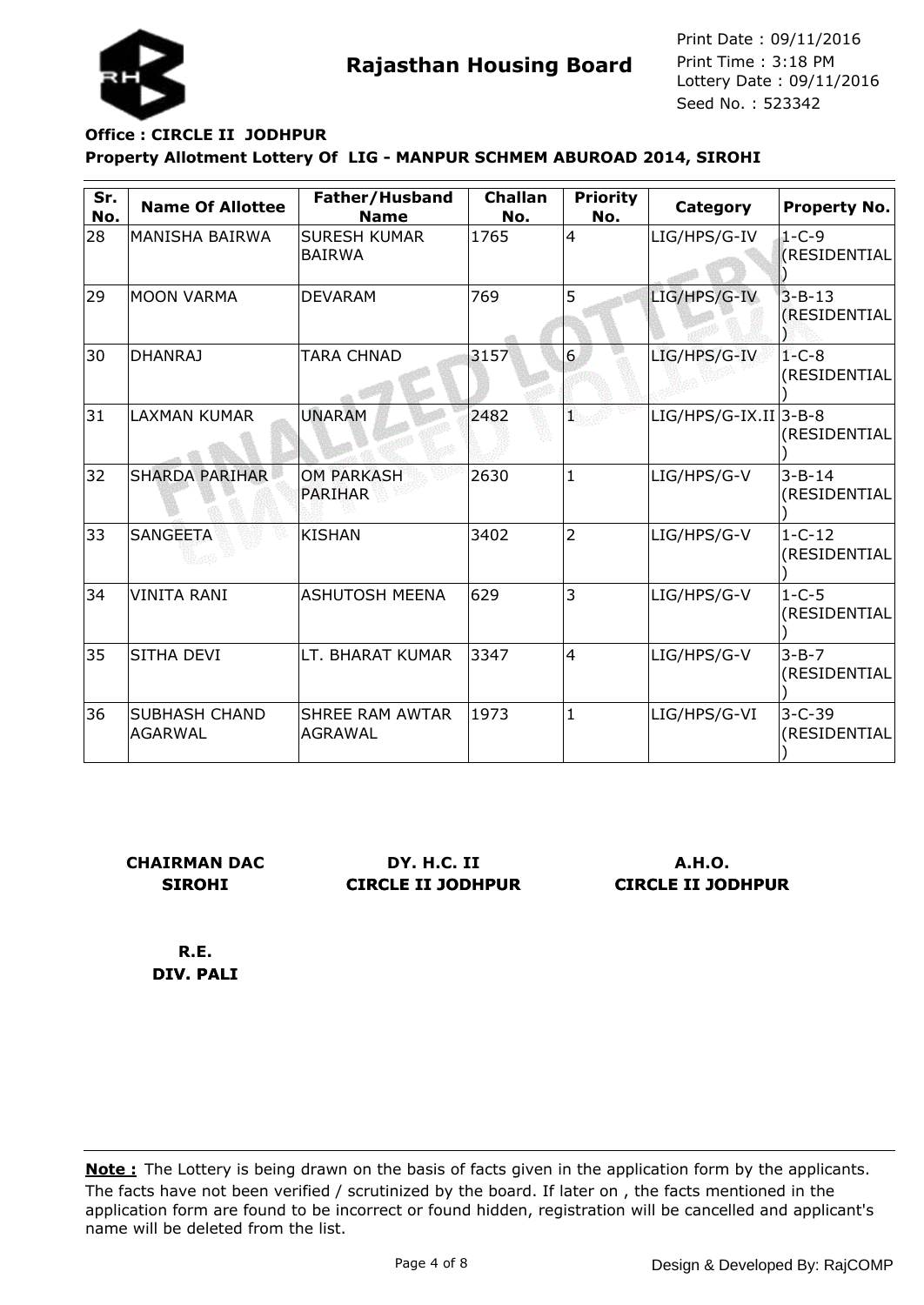

### **Property Allotment Lottery Of LIG - MANPUR SCHMEM ABUROAD 2014, SIROHI Office : CIRCLE II JODHPUR**

| Sr.<br>No. | <b>Name Of Allottee</b>                | Father/Husband<br><b>Name</b>            | <b>Challan</b><br>No. | <b>Priority</b><br>No. | Category                | <b>Property No.</b>          |
|------------|----------------------------------------|------------------------------------------|-----------------------|------------------------|-------------------------|------------------------------|
| 28         | MANISHA BAIRWA                         | <b>SURESH KUMAR</b><br><b>BAIRWA</b>     | 1765                  | $\overline{4}$         | LIG/HPS/G-IV            | $1 - C - 9$<br>(RESIDENTIAL  |
| 29         | <b>MOON VARMA</b>                      | <b>DEVARAM</b>                           | 769                   | 5                      | LIG/HPS/G-IV            | $3 - B - 13$<br>(RESIDENTIAL |
| 30         | <b>DHANRAJ</b>                         | <b>TARA CHNAD</b>                        | 3157                  | 6                      | LIG/HPS/G-IV            | $1 - C - 8$<br>(RESIDENTIAL  |
| 31         | <b>LAXMAN KUMAR</b>                    | <b>UNARAM</b>                            | 2482                  | q.                     | $LIG/HPS/G-IX.II 3-B-8$ | (RESIDENTIAL                 |
| 32         | <b>SHARDA PARIHAR</b>                  | <b>OM PARKASH</b><br><b>PARIHAR</b>      | 2630                  | $\mathbf{1}$           | LIG/HPS/G-V             | $3 - B - 14$<br>(RESIDENTIAL |
| 33         | <b>SANGEETA</b>                        | KISHAN                                   | 3402                  | $\overline{2}$         | LIG/HPS/G-V             | $1 - C - 12$<br>(RESIDENTIAL |
| 34         | VINITA RANI                            | <b>ASHUTOSH MEENA</b>                    | 629                   | 3                      | LIG/HPS/G-V             | $1 - C - 5$<br>(RESIDENTIAL  |
| 35         | <b>SITHA DEVI</b>                      | LT. BHARAT KUMAR                         | 3347                  | 4                      | LIG/HPS/G-V             | $3 - B - 7$<br>(RESIDENTIAL  |
| 36         | <b>SUBHASH CHAND</b><br><b>AGARWAL</b> | <b>SHREE RAM AWTAR</b><br><b>AGRAWAL</b> | 1973                  | $\mathbf{1}$           | LIG/HPS/G-VI            | $3 - C - 39$<br>(RESIDENTIAL |

**CHAIRMAN DAC SIROHI**

**DY. H.C. II CIRCLE II JODHPUR**

**A.H.O. CIRCLE II JODHPUR**

**R.E. DIV. PALI**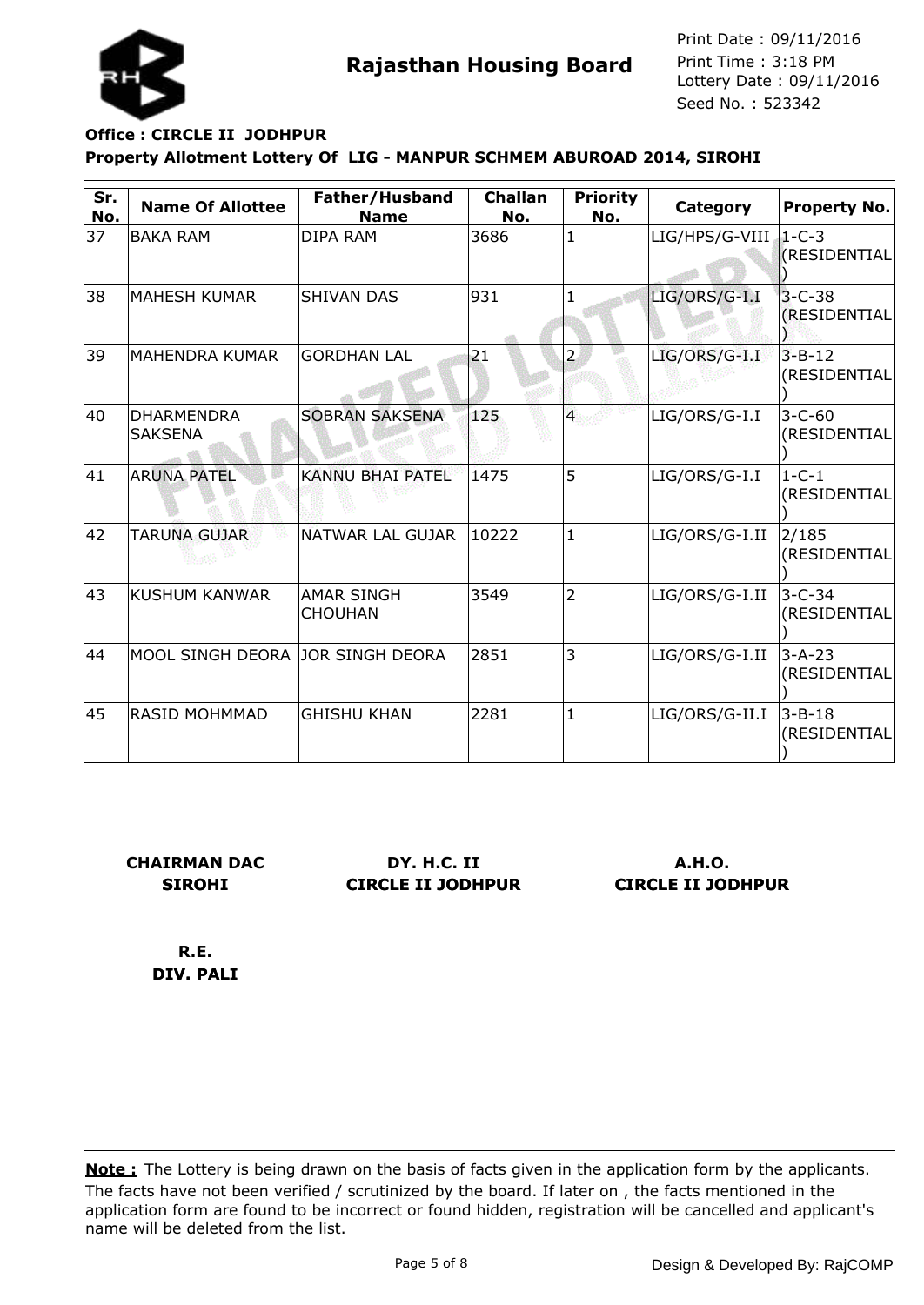

# **Property Allotment Lottery Of LIG - MANPUR SCHMEM ABUROAD 2014, SIROHI Office : CIRCLE II JODHPUR**

| Sr.<br>No. | <b>Name Of Allottee</b>          | Father/Husband<br><b>Name</b>       | <b>Challan</b><br>No. | <b>Priority</b><br>No. | Category       | <b>Property No.</b>            |
|------------|----------------------------------|-------------------------------------|-----------------------|------------------------|----------------|--------------------------------|
| 37         | <b>BAKA RAM</b>                  | DIPA RAM                            | 3686                  | 1                      | LIG/HPS/G-VIII | $1-C-3$<br><b>(RESIDENTIAL</b> |
| 38         | <b>MAHESH KUMAR</b>              | <b>SHIVAN DAS</b>                   | 931                   |                        | LIG/ORS/G-I.I  | $3 - C - 38$<br>(RESIDENTIAL   |
| 39         | <b>MAHENDRA KUMAR</b>            | <b>GORDHAN LAL</b>                  | 21                    | $\overline{2}$         | LIG/ORS/G-I.I  | $3 - B - 12$<br>(RESIDENTIAL   |
| 40         | <b>DHARMENDRA</b><br>SAKSENA     | <b>SOBRAN SAKSENA</b>               | 125                   | $\overline{4}$         | LIG/ORS/G-I.I  | $3 - C - 60$<br>(RESIDENTIAL   |
| 41         | <b>ARUNA PATEL</b>               | KANNU BHAI PATEL                    | 1475                  | 5                      | LIG/ORS/G-I.I  | $1 - C - 1$<br>(RESIDENTIAL    |
| 42         | TARUNA GUJAR                     | NATWAR LAL GUJAR                    | 10222                 | 1                      | LIG/ORS/G-I.II | 2/185<br>(RESIDENTIAL          |
| 43         | KUSHUM KANWAR                    | <b>AMAR SINGH</b><br><b>CHOUHAN</b> | 3549                  | $\overline{2}$         | LIG/ORS/G-I.II | $3 - C - 34$<br>(RESIDENTIAL   |
| 44         | MOOL SINGH DEORA JOR SINGH DEORA |                                     | 2851                  | 3                      | LIG/ORS/G-I.II | 3-A-23<br>(RESIDENTIAL         |
| 45         | <b>RASID MOHMMAD</b>             | <b>GHISHU KHAN</b>                  | 2281                  | 1                      | LIG/ORS/G-II.I | $3 - B - 18$<br>(RESIDENTIAL   |

**CHAIRMAN DAC SIROHI**

**DY. H.C. II CIRCLE II JODHPUR**

**A.H.O. CIRCLE II JODHPUR**

**R.E. DIV. PALI**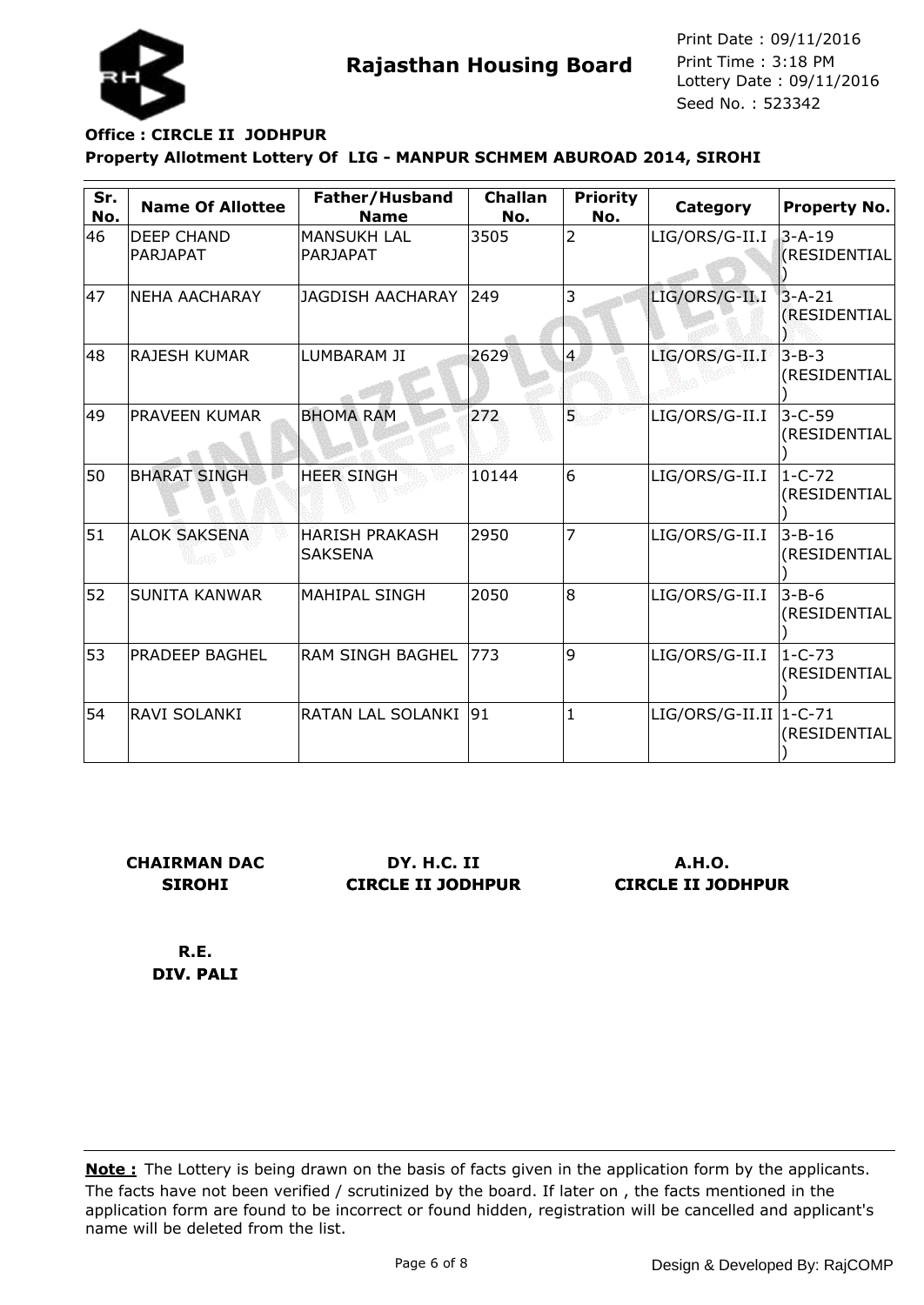

# **Property Allotment Lottery Of LIG - MANPUR SCHMEM ABUROAD 2014, SIROHI Office : CIRCLE II JODHPUR**

| Sr.<br>No. | <b>Name Of Allottee</b>       | Father/Husband<br><b>Name</b>           | <b>Challan</b><br>No. | <b>Priority</b><br>No. | Category                  | <b>Property No.</b>             |
|------------|-------------------------------|-----------------------------------------|-----------------------|------------------------|---------------------------|---------------------------------|
| 46         | <b>DEEP CHAND</b><br>PARJAPAT | <b>MANSUKH LAL</b><br>PARJAPAT          | 3505                  | $\overline{2}$         | LIG/ORS/G-II.I            | $3-A-19$<br><b>(RESIDENTIAL</b> |
| 47         | NEHA AACHARAY                 | <b>JAGDISH AACHARAY</b>                 | 249                   | 3                      | LIG/ORS/G-II.I            | $3 - A - 21$<br>(RESIDENTIAL    |
| 48         | <b>RAJESH KUMAR</b>           | LUMBARAM JI                             | 2629                  | $\overline{4}$         | LIG/ORS/G-II.I            | $3 - B - 3$<br>(RESIDENTIAL     |
| 49         | <b>PRAVEEN KUMAR</b>          | <b>BHOMA RAM</b>                        | 272                   | 5.                     | LIG/ORS/G-II.I            | $3 - C - 59$<br>(RESIDENTIAL    |
| 50         | <b>BHARAT SINGH</b>           | <b>HEER SINGH</b>                       | 10144                 | 6                      | LIG/ORS/G-II.I            | 1-C-72<br>(RESIDENTIAL          |
| 51         | <b>ALOK SAKSENA</b>           | <b>HARISH PRAKASH</b><br><b>SAKSENA</b> | 2950                  |                        | LIG/ORS/G-II.I            | $3 - B - 16$<br>(RESIDENTIAL    |
| 52         | <b>SUNITA KANWAR</b>          | <b>MAHIPAL SINGH</b>                    | 2050                  | 8                      | LIG/ORS/G-II.I            | $3 - B - 6$<br>(RESIDENTIAL     |
| 53         | PRADEEP BAGHEL                | <b>RAM SINGH BAGHEL</b>                 | 773                   | 9                      | LIG/ORS/G-II.I            | $1 - C - 73$<br>(RESIDENTIAL    |
| 54         | <b>RAVI SOLANKI</b>           | <b>RATAN LAL SOLANKI</b>                | 91                    | $\mathbf{1}$           | $LIG/ORS/G-II.II  1-C-71$ | (RESIDENTIAL                    |

**CHAIRMAN DAC SIROHI**

**DY. H.C. II CIRCLE II JODHPUR**

**A.H.O. CIRCLE II JODHPUR**

**R.E. DIV. PALI**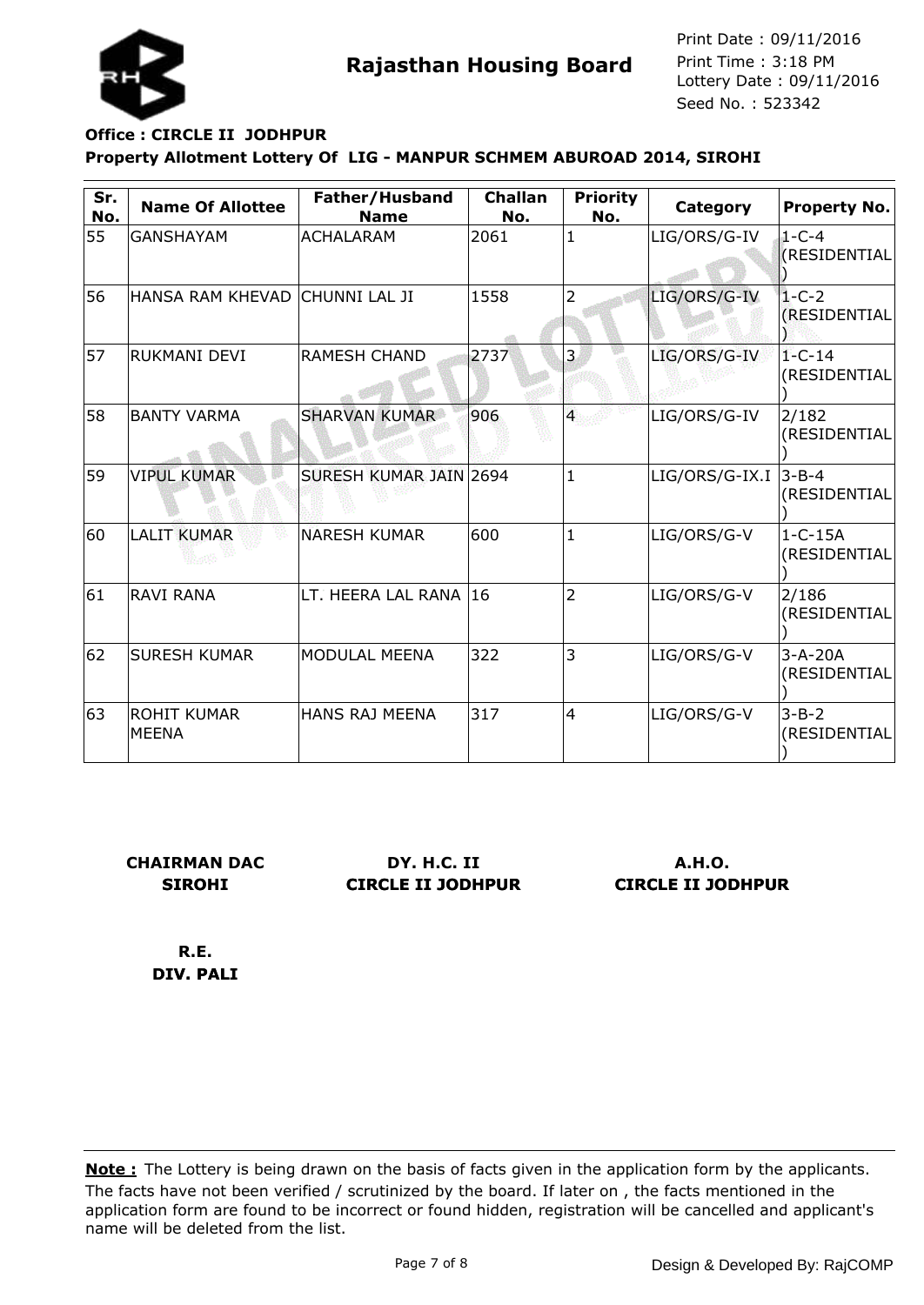

# **Property Allotment Lottery Of LIG - MANPUR SCHMEM ABUROAD 2014, SIROHI Office : CIRCLE II JODHPUR**

| Sr.<br>No. | <b>Name Of Allottee</b>            | Father/Husband<br><b>Name</b> | <b>Challan</b><br>No. | <b>Priority</b><br>No. | Category         | <b>Property No.</b>           |
|------------|------------------------------------|-------------------------------|-----------------------|------------------------|------------------|-------------------------------|
| 55         | <b>GANSHAYAM</b>                   | <b>ACHALARAM</b>              | 2061                  | 1                      | LIG/ORS/G-IV     | $1 - C - 4$<br>(RESIDENTIAL   |
| 56         | HANSA RAM KHEVAD CHUNNI LAL JI     |                               | 1558                  | $\overline{2}$         | LIG/ORS/G-IV     | $1 - C - 2$<br>(RESIDENTIAL   |
| 57         | <b>RUKMANI DEVI</b>                | <b>RAMESH CHAND</b>           | 2737                  | 3                      | LIG/ORS/G-IV     | $1 - C - 14$<br>(RESIDENTIAL  |
| 58         | <b>BANTY VARMA</b>                 | <b>SHARVAN KUMAR</b>          | 906                   | $\overline{4}$         | LIG/ORS/G-IV     | 2/182<br>(RESIDENTIAL         |
| 59         | <b>VIPUL KUMAR</b>                 | SURESH KUMAR JAIN 2694        |                       | $\mathbf{1}$           | $LIG/ORS/G-IX.I$ | $3 - B - 4$<br>(RESIDENTIAL   |
| 60         | <b>LALIT KUMAR</b>                 | <b>NARESH KUMAR</b>           | 600                   | $\mathbf{1}$           | LIG/ORS/G-V      | $1 - C - 15A$<br>(RESIDENTIAL |
| 61         | <b>RAVI RANA</b>                   | LT. HEERA LAL RANA            | 16                    | $\overline{2}$         | LIG/ORS/G-V      | 2/186<br>(RESIDENTIAL         |
| 62         | <b>SURESH KUMAR</b>                | <b>MODULAL MEENA</b>          | 322                   | 3                      | LIG/ORS/G-V      | $3 - A - 20A$<br>(RESIDENTIAL |
| 63         | <b>ROHIT KUMAR</b><br><b>MEENA</b> | <b>HANS RAJ MEENA</b>         | 317                   | $\overline{4}$         | LIG/ORS/G-V      | $3 - B - 2$<br>(RESIDENTIAL   |

**CHAIRMAN DAC SIROHI**

**DY. H.C. II CIRCLE II JODHPUR**

**A.H.O. CIRCLE II JODHPUR**

**R.E. DIV. PALI**